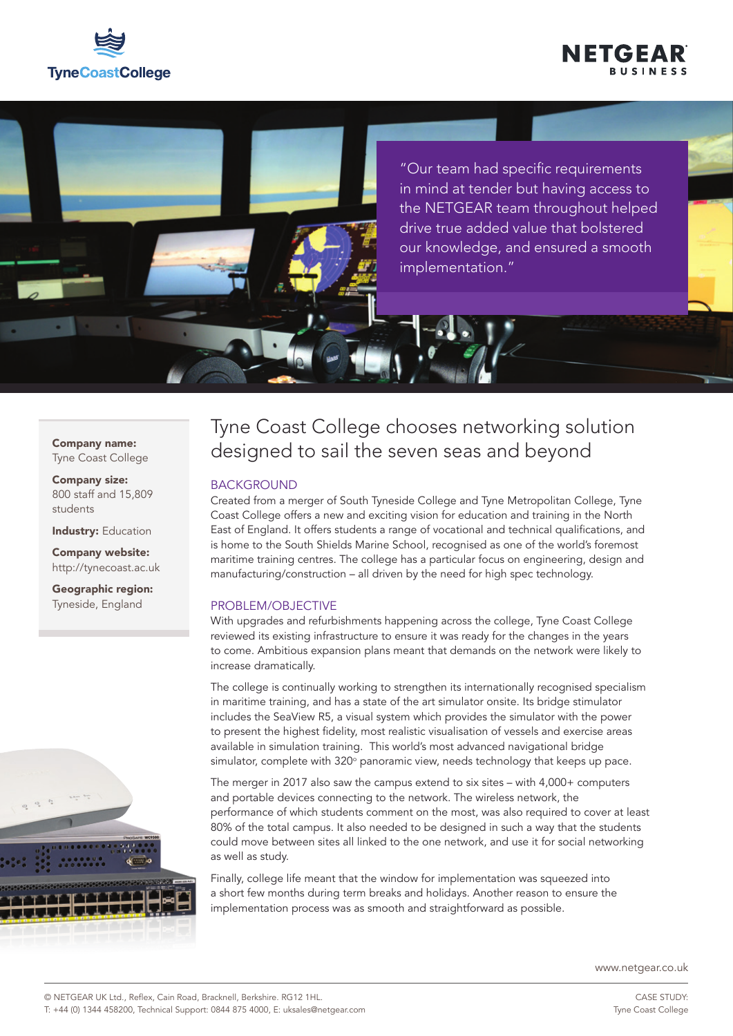



"Our team had specific requirements in mind at tender but having access to the NETGEAR team throughout helped drive true added value that bolstered our knowledge, and ensured a smooth implementation."

### Company name: Tyne Coast College

Company size: 800 staff and 15,809 students

Industry: Education

Company website: http://tynecoast.ac.uk

Geographic region: Tyneside, England



# Tyne Coast College chooses networking solution designed to sail the seven seas and beyond

## BACKGROUND

Created from a merger of South Tyneside College and Tyne Metropolitan College, Tyne Coast College offers a new and exciting vision for education and training in the North East of England. It offers students a range of vocational and technical qualifications, and is home to the South Shields Marine School, recognised as one of the world's foremost maritime training centres. The college has a particular focus on engineering, design and manufacturing/construction – all driven by the need for high spec technology.

## PROBLEM/OBJECTIVE

With upgrades and refurbishments happening across the college, Tyne Coast College reviewed its existing infrastructure to ensure it was ready for the changes in the years to come. Ambitious expansion plans meant that demands on the network were likely to increase dramatically.

The college is continually working to strengthen its internationally recognised specialism in maritime training, and has a state of the art simulator onsite. Its bridge stimulator includes the SeaView R5, a visual system which provides the simulator with the power to present the highest fidelity, most realistic visualisation of vessels and exercise areas available in simulation training. This world's most advanced navigational bridge simulator, complete with 320° panoramic view, needs technology that keeps up pace.

The merger in 2017 also saw the campus extend to six sites – with 4,000+ computers and portable devices connecting to the network. The wireless network, the performance of which students comment on the most, was also required to cover at least 80% of the total campus. It also needed to be designed in such a way that the students could move between sites all linked to the one network, and use it for social networking as well as study.

Finally, college life meant that the window for implementation was squeezed into a short few months during term breaks and holidays. Another reason to ensure the implementation process was as smooth and straightforward as possible.

www.netgear.co.uk